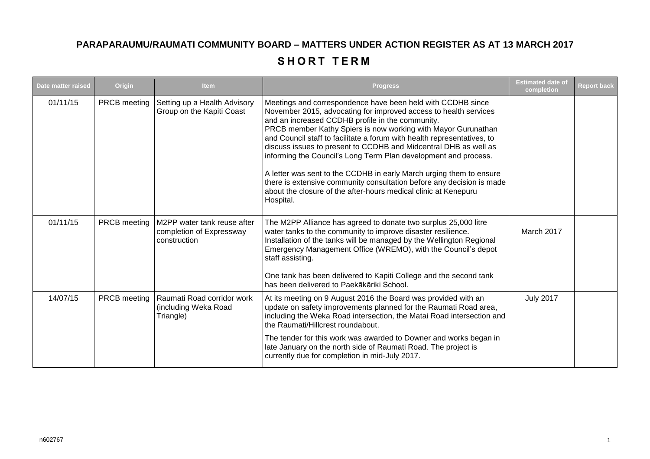## **PARAPARAUMU/RAUMATI COMMUNITY BOARD – MATTERS UNDER ACTION REGISTER AS AT 13 MARCH 2017**

## SHORT TERM

| Date matter raised | Origin              | <b>Item</b>                                                             | <b>Progress</b>                                                                                                                                                                                                                                                                                                                                                                                                                                                                                                                                                                                                                                                                                        | <b>Estimated date of</b><br>completion | <b>Report back</b> |
|--------------------|---------------------|-------------------------------------------------------------------------|--------------------------------------------------------------------------------------------------------------------------------------------------------------------------------------------------------------------------------------------------------------------------------------------------------------------------------------------------------------------------------------------------------------------------------------------------------------------------------------------------------------------------------------------------------------------------------------------------------------------------------------------------------------------------------------------------------|----------------------------------------|--------------------|
| 01/11/15           | <b>PRCB</b> meeting | Setting up a Health Advisory<br>Group on the Kapiti Coast               | Meetings and correspondence have been held with CCDHB since<br>November 2015, advocating for improved access to health services<br>and an increased CCDHB profile in the community.<br>PRCB member Kathy Spiers is now working with Mayor Gurunathan<br>and Council staff to facilitate a forum with health representatives, to<br>discuss issues to present to CCDHB and Midcentral DHB as well as<br>informing the Council's Long Term Plan development and process.<br>A letter was sent to the CCDHB in early March urging them to ensure<br>there is extensive community consultation before any decision is made<br>about the closure of the after-hours medical clinic at Kenepuru<br>Hospital. |                                        |                    |
| 01/11/15           | PRCB meeting        | M2PP water tank reuse after<br>completion of Expressway<br>construction | The M2PP Alliance has agreed to donate two surplus 25,000 litre<br>water tanks to the community to improve disaster resilience.<br>Installation of the tanks will be managed by the Wellington Regional<br>Emergency Management Office (WREMO), with the Council's depot<br>staff assisting.<br>One tank has been delivered to Kapiti College and the second tank<br>has been delivered to Paekākāriki School.                                                                                                                                                                                                                                                                                         | March 2017                             |                    |
| 14/07/15           | PRCB meeting        | Raumati Road corridor work<br>(including Weka Road<br>Triangle)         | At its meeting on 9 August 2016 the Board was provided with an<br>update on safety improvements planned for the Raumati Road area,<br>including the Weka Road intersection, the Matai Road intersection and<br>the Raumati/Hillcrest roundabout.<br>The tender for this work was awarded to Downer and works began in<br>late January on the north side of Raumati Road. The project is<br>currently due for completion in mid-July 2017.                                                                                                                                                                                                                                                              | <b>July 2017</b>                       |                    |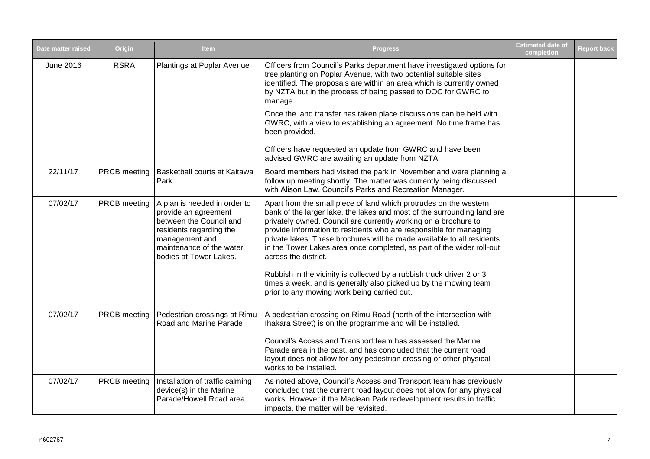| Date matter raised | Origin       | <b>Item</b>                                                                                                                                                                        | <b>Progress</b>                                                                                                                                                                                                                                                                                                                                                                                                                                                 | <b>Estimated date of</b><br>completion | <b>Report back</b> |
|--------------------|--------------|------------------------------------------------------------------------------------------------------------------------------------------------------------------------------------|-----------------------------------------------------------------------------------------------------------------------------------------------------------------------------------------------------------------------------------------------------------------------------------------------------------------------------------------------------------------------------------------------------------------------------------------------------------------|----------------------------------------|--------------------|
| June 2016          | <b>RSRA</b>  | Plantings at Poplar Avenue                                                                                                                                                         | Officers from Council's Parks department have investigated options for<br>tree planting on Poplar Avenue, with two potential suitable sites<br>identified. The proposals are within an area which is currently owned<br>by NZTA but in the process of being passed to DOC for GWRC to<br>manage.                                                                                                                                                                |                                        |                    |
|                    |              |                                                                                                                                                                                    | Once the land transfer has taken place discussions can be held with<br>GWRC, with a view to establishing an agreement. No time frame has<br>been provided.                                                                                                                                                                                                                                                                                                      |                                        |                    |
|                    |              |                                                                                                                                                                                    | Officers have requested an update from GWRC and have been<br>advised GWRC are awaiting an update from NZTA.                                                                                                                                                                                                                                                                                                                                                     |                                        |                    |
| 22/11/17           | PRCB meeting | Basketball courts at Kaitawa<br>Park                                                                                                                                               | Board members had visited the park in November and were planning a<br>follow up meeting shortly. The matter was currently being discussed<br>with Alison Law, Council's Parks and Recreation Manager.                                                                                                                                                                                                                                                           |                                        |                    |
| 07/02/17           | PRCB meeting | A plan is needed in order to<br>provide an agreement<br>between the Council and<br>residents regarding the<br>management and<br>maintenance of the water<br>bodies at Tower Lakes. | Apart from the small piece of land which protrudes on the western<br>bank of the larger lake, the lakes and most of the surrounding land are<br>privately owned. Council are currently working on a brochure to<br>provide information to residents who are responsible for managing<br>private lakes. These brochures will be made available to all residents<br>in the Tower Lakes area once completed, as part of the wider roll-out<br>across the district. |                                        |                    |
|                    |              |                                                                                                                                                                                    | Rubbish in the vicinity is collected by a rubbish truck driver 2 or 3<br>times a week, and is generally also picked up by the mowing team<br>prior to any mowing work being carried out.                                                                                                                                                                                                                                                                        |                                        |                    |
| 07/02/17           | PRCB meeting | Pedestrian crossings at Rimu<br>Road and Marine Parade                                                                                                                             | A pedestrian crossing on Rimu Road (north of the intersection with<br>Ihakara Street) is on the programme and will be installed.<br>Council's Access and Transport team has assessed the Marine<br>Parade area in the past, and has concluded that the current road<br>layout does not allow for any pedestrian crossing or other physical<br>works to be installed.                                                                                            |                                        |                    |
| 07/02/17           | PRCB meeting | Installation of traffic calming<br>device(s) in the Marine<br>Parade/Howell Road area                                                                                              | As noted above, Council's Access and Transport team has previously<br>concluded that the current road layout does not allow for any physical<br>works. However if the Maclean Park redevelopment results in traffic<br>impacts, the matter will be revisited.                                                                                                                                                                                                   |                                        |                    |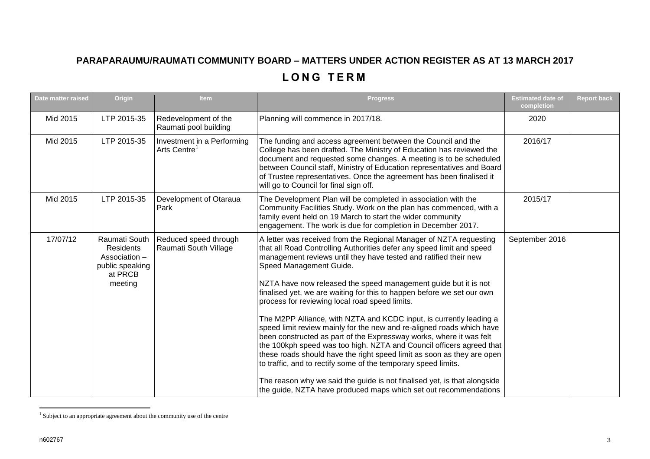## **PARAPARAUMU/RAUMATI COMMUNITY BOARD – MATTERS UNDER ACTION REGISTER AS AT 13 MARCH 2017**

## **L O N G T E R M**

| Date matter raised | Origin                                                                                      | <b>Item</b>                                            | <b>Progress</b>                                                                                                                                                                                                                                                                                                                                                                                                                                                                                                                                                                                                                                                                                                                                                                                                                                                                                                                                                                                                                      | <b>Estimated date of</b><br>completion | <b>Report back</b> |
|--------------------|---------------------------------------------------------------------------------------------|--------------------------------------------------------|--------------------------------------------------------------------------------------------------------------------------------------------------------------------------------------------------------------------------------------------------------------------------------------------------------------------------------------------------------------------------------------------------------------------------------------------------------------------------------------------------------------------------------------------------------------------------------------------------------------------------------------------------------------------------------------------------------------------------------------------------------------------------------------------------------------------------------------------------------------------------------------------------------------------------------------------------------------------------------------------------------------------------------------|----------------------------------------|--------------------|
| Mid 2015           | LTP 2015-35                                                                                 | Redevelopment of the<br>Raumati pool building          | Planning will commence in 2017/18.                                                                                                                                                                                                                                                                                                                                                                                                                                                                                                                                                                                                                                                                                                                                                                                                                                                                                                                                                                                                   | 2020                                   |                    |
| Mid 2015           | LTP 2015-35                                                                                 | Investment in a Performing<br>Arts Centre <sup>1</sup> | The funding and access agreement between the Council and the<br>College has been drafted. The Ministry of Education has reviewed the<br>document and requested some changes. A meeting is to be scheduled<br>between Council staff, Ministry of Education representatives and Board<br>of Trustee representatives. Once the agreement has been finalised it<br>will go to Council for final sign off.                                                                                                                                                                                                                                                                                                                                                                                                                                                                                                                                                                                                                                | 2016/17                                |                    |
| Mid 2015           | LTP 2015-35                                                                                 | Development of Otaraua<br>Park                         | The Development Plan will be completed in association with the<br>Community Facilities Study. Work on the plan has commenced, with a<br>family event held on 19 March to start the wider community<br>engagement. The work is due for completion in December 2017.                                                                                                                                                                                                                                                                                                                                                                                                                                                                                                                                                                                                                                                                                                                                                                   | 2015/17                                |                    |
| 17/07/12           | Raumati South<br><b>Residents</b><br>Association -<br>public speaking<br>at PRCB<br>meeting | Reduced speed through<br>Raumati South Village         | A letter was received from the Regional Manager of NZTA requesting<br>that all Road Controlling Authorities defer any speed limit and speed<br>management reviews until they have tested and ratified their new<br>Speed Management Guide.<br>NZTA have now released the speed management guide but it is not<br>finalised yet, we are waiting for this to happen before we set our own<br>process for reviewing local road speed limits.<br>The M2PP Alliance, with NZTA and KCDC input, is currently leading a<br>speed limit review mainly for the new and re-aligned roads which have<br>been constructed as part of the Expressway works, where it was felt<br>the 100kph speed was too high. NZTA and Council officers agreed that<br>these roads should have the right speed limit as soon as they are open<br>to traffic, and to rectify some of the temporary speed limits.<br>The reason why we said the guide is not finalised yet, is that alongside<br>the guide, NZTA have produced maps which set out recommendations | September 2016                         |                    |

 1 Subject to an appropriate agreement about the community use of the centre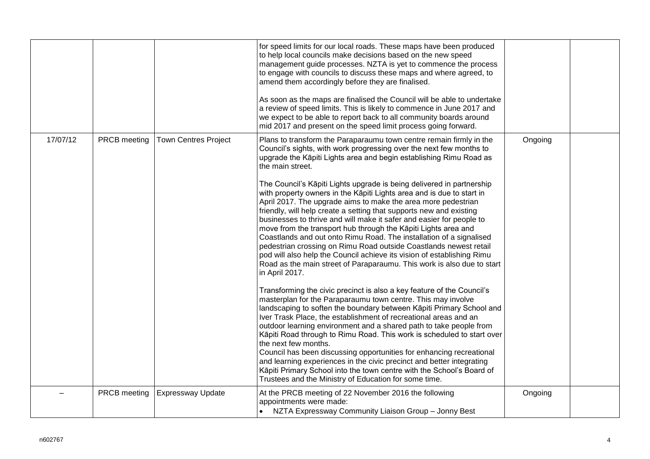|          |              |                                       | for speed limits for our local roads. These maps have been produced<br>to help local councils make decisions based on the new speed<br>management guide processes. NZTA is yet to commence the process<br>to engage with councils to discuss these maps and where agreed, to<br>amend them accordingly before they are finalised.<br>As soon as the maps are finalised the Council will be able to undertake<br>a review of speed limits. This is likely to commence in June 2017 and<br>we expect to be able to report back to all community boards around<br>mid 2017 and present on the speed limit process going forward.                                                                                                                                                                                                                                                                                                                                                                                                                                                                                                                                                                                                                                                                                                                                                                                                                                                                                                                                                                                                                                                                                                               |         |  |
|----------|--------------|---------------------------------------|---------------------------------------------------------------------------------------------------------------------------------------------------------------------------------------------------------------------------------------------------------------------------------------------------------------------------------------------------------------------------------------------------------------------------------------------------------------------------------------------------------------------------------------------------------------------------------------------------------------------------------------------------------------------------------------------------------------------------------------------------------------------------------------------------------------------------------------------------------------------------------------------------------------------------------------------------------------------------------------------------------------------------------------------------------------------------------------------------------------------------------------------------------------------------------------------------------------------------------------------------------------------------------------------------------------------------------------------------------------------------------------------------------------------------------------------------------------------------------------------------------------------------------------------------------------------------------------------------------------------------------------------------------------------------------------------------------------------------------------------|---------|--|
| 17/07/12 | PRCB meeting | <b>Town Centres Project</b>           | Plans to transform the Paraparaumu town centre remain firmly in the<br>Council's sights, with work progressing over the next few months to<br>upgrade the Kāpiti Lights area and begin establishing Rimu Road as<br>the main street.<br>The Council's Kāpiti Lights upgrade is being delivered in partnership<br>with property owners in the Kāpiti Lights area and is due to start in<br>April 2017. The upgrade aims to make the area more pedestrian<br>friendly, will help create a setting that supports new and existing<br>businesses to thrive and will make it safer and easier for people to<br>move from the transport hub through the Kāpiti Lights area and<br>Coastlands and out onto Rimu Road. The installation of a signalised<br>pedestrian crossing on Rimu Road outside Coastlands newest retail<br>pod will also help the Council achieve its vision of establishing Rimu<br>Road as the main street of Paraparaumu. This work is also due to start<br>in April 2017.<br>Transforming the civic precinct is also a key feature of the Council's<br>masterplan for the Paraparaumu town centre. This may involve<br>landscaping to soften the boundary between Kāpiti Primary School and<br>Iver Trask Place, the establishment of recreational areas and an<br>outdoor learning environment and a shared path to take people from<br>Kāpiti Road through to Rimu Road. This work is scheduled to start over<br>the next few months.<br>Council has been discussing opportunities for enhancing recreational<br>and learning experiences in the civic precinct and better integrating<br>Kāpiti Primary School into the town centre with the School's Board of<br>Trustees and the Ministry of Education for some time. | Ongoing |  |
|          |              | <b>PRCB meeting Expressway Update</b> | At the PRCB meeting of 22 November 2016 the following<br>appointments were made:<br>NZTA Expressway Community Liaison Group - Jonny Best                                                                                                                                                                                                                                                                                                                                                                                                                                                                                                                                                                                                                                                                                                                                                                                                                                                                                                                                                                                                                                                                                                                                                                                                                                                                                                                                                                                                                                                                                                                                                                                                    | Ongoing |  |